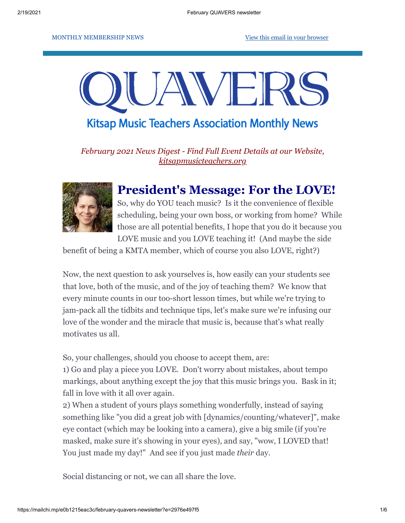#### MONTHLY MEMBERSHIP NEWS [View this email in your browser](https://mailchi.mp/e0b1215eac3c/february-quavers-newsletter?e=2976e497f5)

# AVF **Kitsap Music Teachers Association Monthly News**

*February 2021 News Digest - Find Full Event Details at our Website, [kitsapmusicteachers.org](http://www.kitsapmusicteachers.org/)*



#### **President's Message: For the LOVE!**

So, why do YOU teach music? Is it the convenience of flexible scheduling, being your own boss, or working from home? While those are all potential benefits, I hope that you do it because you LOVE music and you LOVE teaching it! (And maybe the side

benefit of being a KMTA member, which of course you also LOVE, right?)

Now, the next question to ask yourselves is, how easily can your students see that love, both of the music, and of the joy of teaching them? We know that every minute counts in our too-short lesson times, but while we're trying to jam-pack all the tidbits and technique tips, let's make sure we're infusing our love of the wonder and the miracle that music is, because that's what really motivates us all.

So, your challenges, should you choose to accept them, are:

1) Go and play a piece you LOVE. Don't worry about mistakes, about tempo markings, about anything except the joy that this music brings you. Bask in it; fall in love with it all over again.

2) When a student of yours plays something wonderfully, instead of saying something like "you did a great job with [dynamics/counting/whatever]", make eye contact (which may be looking into a camera), give a big smile (if you're masked, make sure it's showing in your eyes), and say, "wow, I LOVED that! You just made my day!" And see if you just made *their* day.

Social distancing or not, we can all share the love.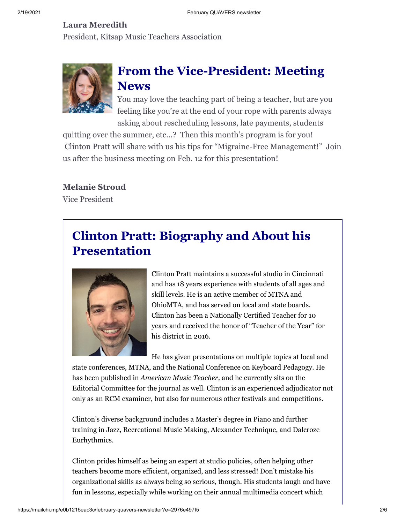#### **Laura Meredith**

President, Kitsap Music Teachers Association



# **From the Vice-President: Meeting News**

You may love the teaching part of being a teacher, but are you feeling like you're at the end of your rope with parents always asking about rescheduling lessons, late payments, students

quitting over the summer, etc...? Then this month's program is for you! Clinton Pratt will share with us his tips for "Migraine-Free Management!" Join us after the business meeting on Feb. 12 for this presentation!

**Melanie Stroud**

Vice President

# **Clinton Pratt: Biography and About his Presentation**



Clinton Pratt maintains a successful studio in Cincinnati and has 18 years experience with students of all ages and skill levels. He is an active member of MTNA and OhioMTA, and has served on local and state boards. Clinton has been a Nationally Certified Teacher for 10 years and received the honor of "Teacher of the Year" for his district in 2016.

He has given presentations on multiple topics at local and

state conferences, MTNA, and the National Conference on Keyboard Pedagogy. He has been published in *American Music Teacher,* and he currently sits on the Editorial Committee for the journal as well. Clinton is an experienced adjudicator not only as an RCM examiner, but also for numerous other festivals and competitions.

Clinton's diverse background includes a Master's degree in Piano and further training in Jazz, Recreational Music Making, Alexander Technique, and Dalcroze Eurhythmics.

Clinton prides himself as being an expert at studio policies, often helping other teachers become more efficient, organized, and less stressed! Don't mistake his organizational skills as always being so serious, though. His students laugh and have fun in lessons, especially while working on their annual multimedia concert which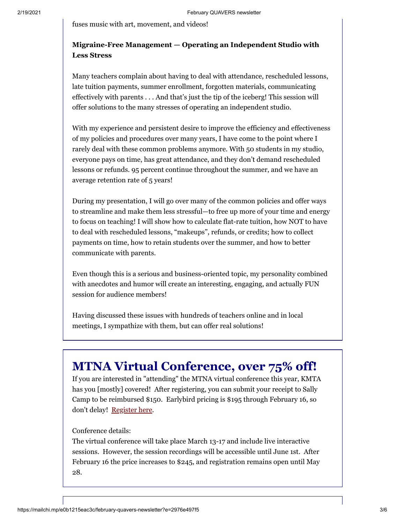fuses music with art, movement, and videos!

#### **Migraine-Free Management — Operating an Independent Studio with Less Stress**

Many teachers complain about having to deal with attendance, rescheduled lessons, late tuition payments, summer enrollment, forgotten materials, communicating effectively with parents . . . And that's just the tip of the iceberg! This session will offer solutions to the many stresses of operating an independent studio.

With my experience and persistent desire to improve the efficiency and effectiveness of my policies and procedures over many years, I have come to the point where I rarely deal with these common problems anymore. With 50 students in my studio, everyone pays on time, has great attendance, and they don't demand rescheduled lessons or refunds. 95 percent continue throughout the summer, and we have an average retention rate of 5 years!

During my presentation, I will go over many of the common policies and offer ways to streamline and make them less stressful—to free up more of your time and energy to focus on teaching! I will show how to calculate flat-rate tuition, how NOT to have to deal with rescheduled lessons, "makeups", refunds, or credits; how to collect payments on time, how to retain students over the summer, and how to better communicate with parents.

Even though this is a serious and business-oriented topic, my personality combined with anecdotes and humor will create an interesting, engaging, and actually FUN session for audience members!

Having discussed these issues with hundreds of teachers online and in local meetings, I sympathize with them, but can offer real solutions!

## **MTNA Virtual Conference, over 75% off!**

If you are interested in "attending" the MTNA virtual conference this year, KMTA has you [mostly] covered! After registering, you can submit your receipt to Sally Camp to be reimbursed \$150. Earlybird pricing is \$195 through February 16, so don't delay! [Register here](https://www.mtna.org/Conference/Conference/Registration.aspx).

#### Conference details:

The virtual conference will take place March 13-17 and include live interactive sessions. However, the session recordings will be accessible until June 1st. After February 16 the price increases to \$245, and registration remains open until May 28.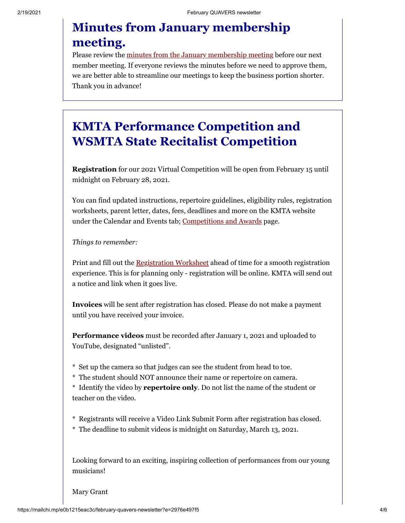## **Minutes from January membership meeting.**

Please review the [minutes from the January membership meeting](https://drive.google.com/file/d/1WU1K88t5PPT9xVh3p4AAPa8VSJOFBvOm/view?usp=sharing) before our next member meeting. If everyone reviews the minutes before we need to approve them, we are better able to streamline our meetings to keep the business portion shorter. Thank you in advance!

## **KMTA Performance Competition and WSMTA State Recitalist Competition**

**Registration** for our 2021 Virtual Competition will be open from February 15 until midnight on February 28, 2021.

You can find updated instructions, repertoire guidelines, eligibility rules, registration worksheets, parent letter, dates, fees, deadlines and more on the KMTA website under the Calendar and Events tab; [Competitions and Awards](http://www.kitsapmusicteachers.org/competitions-and-awards/) page.

*Things to remember:*

Print and fill out the [Registration Worksheet](http://www.kitsapmusicteachers.org/wp-content/uploads/2021/01/Competition-Registration-Worksheet.pdf) ahead of time for a smooth registration experience. This is for planning only - registration will be online. KMTA will send out a notice and link when it goes live.

**Invoices** will be sent after registration has closed. Please do not make a payment until you have received your invoice.

**Performance videos** must be recorded after January 1, 2021 and uploaded to YouTube, designated "unlisted".

- \* Set up the camera so that judges can see the student from head to toe.
- \* The student should NOT announce their name or repertoire on camera.

\* Identify the video by **repertoire only**. Do not list the name of the student or teacher on the video.

- \* Registrants will receive a Video Link Submit Form after registration has closed.
- \* The deadline to submit videos is midnight on Saturday, March 13, 2021.

Looking forward to an exciting, inspiring collection of performances from our young musicians!

Mary Grant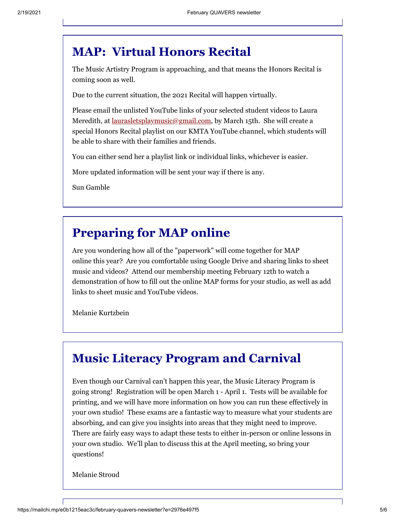#### **MAP: Virtual Honors Recital**

The Music Artistry Program is approaching, and that means the Honors Recital is coming soon as well.

Due to the current situation, the 2021 Recital will happen virtually.

Please email the unlisted YouTube links of your selected student videos to Laura Meredith, at <u>laurasletsplaymusic@gmail.com</u>, by March 15th. She will create a special Honors Recital playlist on our KMTA YouTube channel, which students will be able to share with their families and friends.

You can either send her a playlist link or individual links, whichever is easier.

More updated information will be sent your way if there is any.

Sun Gamble

#### **Preparing for MAP online**

Are you wondering how all of the "paperwork" will come together for MAP online this year? Are you comfortable using Google Drive and sharing links to sheet music and videos? Attend our membership meeting February 12th to watch a demonstration of how to fill out the online MAP forms for your studio, as well as add links to sheet music and YouTube videos.

Melanie Kurtzbein

## **Music Literacy Program and Carnival**

Even though our Carnival can't happen this year, the Music Literacy Program is going strong! Registration will be open March 1 - April 1. Tests will be available for printing, and we will have more information on how you can run these effectively in your own studio! These exams are a fantastic way to measure what your students are absorbing, and can give you insights into areas that they might need to improve. There are fairly easy ways to adapt these tests to either in-person or online lessons in your own studio. We'll plan to discuss this at the April meeting, so bring your questions!

Melanie Stroud